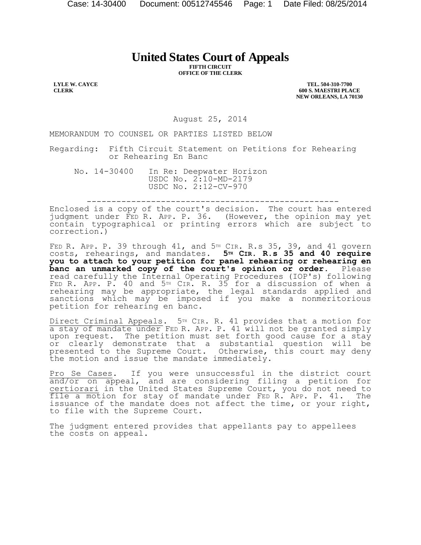## **United States Court of Appeals**

**FIFTH CIRCUIT OFFICE OF THE CLERK** 

**LYLE W. CAYCE CLERK** 

**TEL. 504-310-7700 600 S. MAESTRI PLACE NEW ORLEANS, LA 70130** 

August 25, 2014

MEMORANDUM TO COUNSEL OR PARTIES LISTED BELOW

Regarding: Fifth Circuit Statement on Petitions for Rehearing or Rehearing En Banc

No. 14-30400 In Re: Deepwater Horizon USDC No. 2:10-MD-2179 USDC No. 2:12-CV-970

---------------------------------------------------

Enclosed is a copy of the court's decision. The court has entered judgment under FED R. APP. P. 36. (However, the opinion may yet contain typographical or printing errors which are subject to correction.)

FED R. APP. P. 39 through  $41$ , and  $5^{\text{th}}$  CIR. R.s 35, 39, and  $41$  govern costs, rehearings, and mandates. **5TH CIR. R.s 35 and 40 require you to attach to your petition for panel rehearing or rehearing en**  banc an unmarked copy of the court's opinion or order. read carefully the Internal Operating Procedures (IOP's) following FED R. APP. P. 40 and 5TH CIR. R. 35 for a discussion of when a rehearing may be appropriate, the legal standards applied and sanctions which may be imposed if you make a nonmeritorious petition for rehearing en banc.

Direct Criminal Appeals. 5<sup>TH</sup> CIR. R. 41 provides that a motion for a stay of mandate under FED R. APP. P. 41 will not be granted simply upon request. The petition must set forth good cause for a stay or clearly demonstrate that a substantial question will be presented to the Supreme Court. Otherwise, this court may deny the motion and issue the mandate immediately.

Pro Se Cases. If you were unsuccessful in the district court and/or on appeal, and are considering filing a petition for certiorari in the United States Supreme Court, you do not need to file a motion for stay of mandate under FED R. APP. P. 41. The issuance of the mandate does not affect the time, or your right, to file with the Supreme Court.

The judgment entered provides that appellants pay to appellees the costs on appeal.